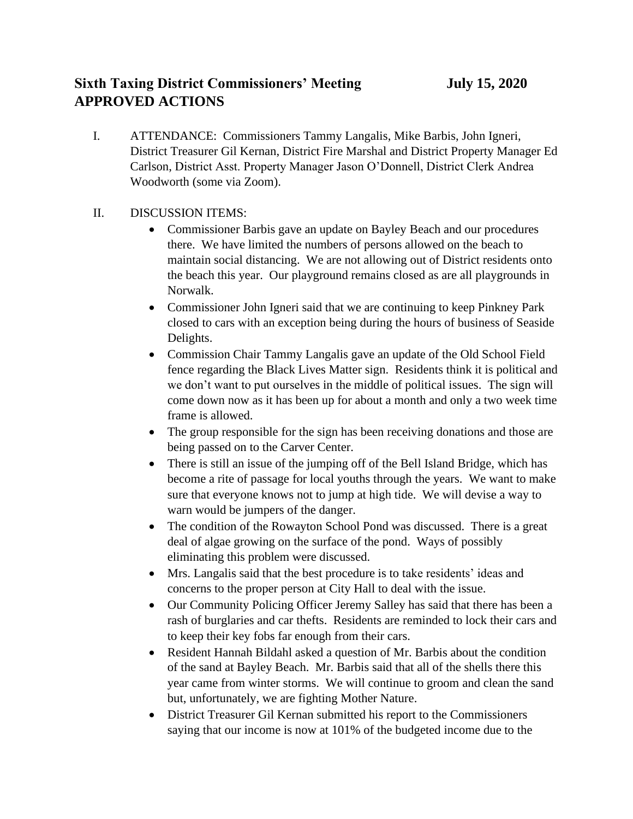## **Sixth Taxing District Commissioners' Meeting** *July 15, 2020* **APPROVED ACTIONS**

I. ATTENDANCE: Commissioners Tammy Langalis, Mike Barbis, John Igneri, District Treasurer Gil Kernan, District Fire Marshal and District Property Manager Ed Carlson, District Asst. Property Manager Jason O'Donnell, District Clerk Andrea Woodworth (some via Zoom).

## II. DISCUSSION ITEMS:

- Commissioner Barbis gave an update on Bayley Beach and our procedures there. We have limited the numbers of persons allowed on the beach to maintain social distancing. We are not allowing out of District residents onto the beach this year. Our playground remains closed as are all playgrounds in Norwalk.
- Commissioner John Igneri said that we are continuing to keep Pinkney Park closed to cars with an exception being during the hours of business of Seaside Delights.
- Commission Chair Tammy Langalis gave an update of the Old School Field fence regarding the Black Lives Matter sign. Residents think it is political and we don't want to put ourselves in the middle of political issues. The sign will come down now as it has been up for about a month and only a two week time frame is allowed.
- The group responsible for the sign has been receiving donations and those are being passed on to the Carver Center.
- There is still an issue of the jumping off of the Bell Island Bridge, which has become a rite of passage for local youths through the years. We want to make sure that everyone knows not to jump at high tide. We will devise a way to warn would be jumpers of the danger.
- The condition of the Rowayton School Pond was discussed. There is a great deal of algae growing on the surface of the pond. Ways of possibly eliminating this problem were discussed.
- Mrs. Langalis said that the best procedure is to take residents' ideas and concerns to the proper person at City Hall to deal with the issue.
- Our Community Policing Officer Jeremy Salley has said that there has been a rash of burglaries and car thefts. Residents are reminded to lock their cars and to keep their key fobs far enough from their cars.
- Resident Hannah Bildahl asked a question of Mr. Barbis about the condition of the sand at Bayley Beach. Mr. Barbis said that all of the shells there this year came from winter storms. We will continue to groom and clean the sand but, unfortunately, we are fighting Mother Nature.
- District Treasurer Gil Kernan submitted his report to the Commissioners saying that our income is now at 101% of the budgeted income due to the